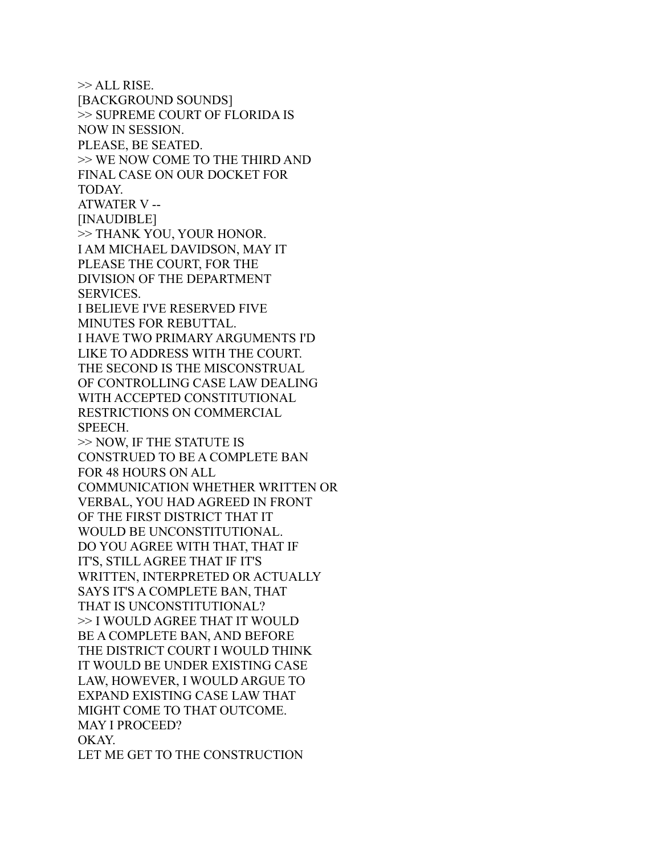>> ALL RISE. [BACKGROUND SOUNDS] >> SUPREME COURT OF FLORIDA IS NOW IN SESSION. PLEASE, BE SEATED. >> WE NOW COME TO THE THIRD AND FINAL CASE ON OUR DOCKET FOR TODAY. ATWATER V -- [INAUDIBLE] >> THANK YOU, YOUR HONOR. I AM MICHAEL DAVIDSON, MAY IT PLEASE THE COURT, FOR THE DIVISION OF THE DEPARTMENT SERVICES. I BELIEVE I'VE RESERVED FIVE MINUTES FOR REBUTTAL. I HAVE TWO PRIMARY ARGUMENTS I'D LIKE TO ADDRESS WITH THE COURT. THE SECOND IS THE MISCONSTRUAL OF CONTROLLING CASE LAW DEALING WITH ACCEPTED CONSTITUTIONAL RESTRICTIONS ON COMMERCIAL SPEECH. >> NOW, IF THE STATUTE IS CONSTRUED TO BE A COMPLETE BAN FOR 48 HOURS ON ALL COMMUNICATION WHETHER WRITTEN OR VERBAL, YOU HAD AGREED IN FRONT OF THE FIRST DISTRICT THAT IT WOULD BE UNCONSTITUTIONAL. DO YOU AGREE WITH THAT, THAT IF IT'S, STILL AGREE THAT IF IT'S WRITTEN, INTERPRETED OR ACTUALLY SAYS IT'S A COMPLETE BAN, THAT THAT IS UNCONSTITUTIONAL? >> I WOULD AGREE THAT IT WOULD BE A COMPLETE BAN, AND BEFORE THE DISTRICT COURT I WOULD THINK IT WOULD BE UNDER EXISTING CASE LAW, HOWEVER, I WOULD ARGUE TO EXPAND EXISTING CASE LAW THAT MIGHT COME TO THAT OUTCOME. MAY I PROCEED? OKAY. LET ME GET TO THE CONSTRUCTION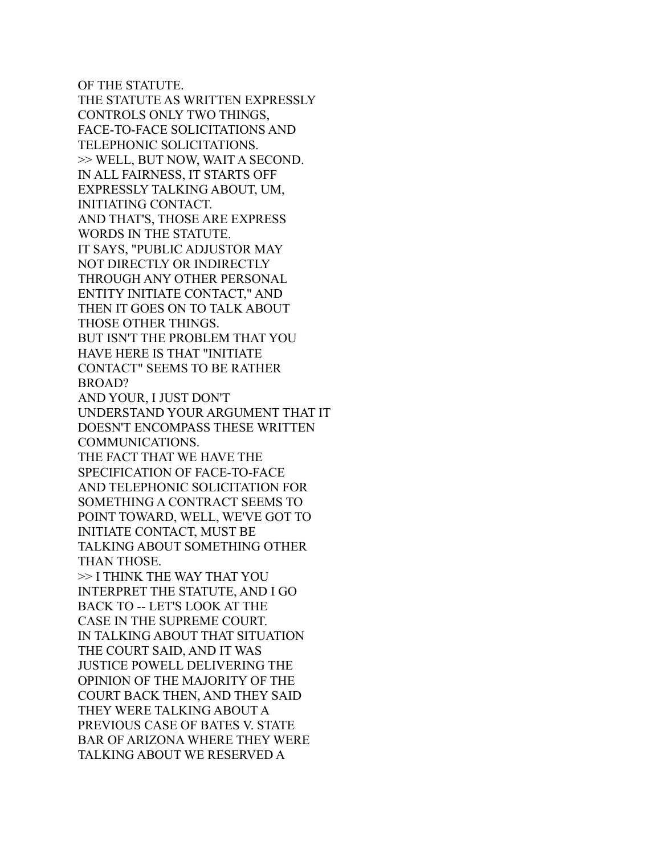OF THE STATUTE. THE STATUTE AS WRITTEN EXPRESSLY CONTROLS ONLY TWO THINGS, FACE-TO-FACE SOLICITATIONS AND TELEPHONIC SOLICITATIONS. >> WELL, BUT NOW, WAIT A SECOND. IN ALL FAIRNESS, IT STARTS OFF EXPRESSLY TALKING ABOUT, UM, INITIATING CONTACT. AND THAT'S, THOSE ARE EXPRESS WORDS IN THE STATUTE. IT SAYS, "PUBLIC ADJUSTOR MAY NOT DIRECTLY OR INDIRECTLY THROUGH ANY OTHER PERSONAL ENTITY INITIATE CONTACT," AND THEN IT GOES ON TO TALK ABOUT THOSE OTHER THINGS. BUT ISN'T THE PROBLEM THAT YOU HAVE HERE IS THAT "INITIATE CONTACT" SEEMS TO BE RATHER BROAD? AND YOUR, I JUST DON'T UNDERSTAND YOUR ARGUMENT THAT IT DOESN'T ENCOMPASS THESE WRITTEN COMMUNICATIONS. THE FACT THAT WE HAVE THE SPECIFICATION OF FACE-TO-FACE AND TELEPHONIC SOLICITATION FOR SOMETHING A CONTRACT SEEMS TO POINT TOWARD, WELL, WE'VE GOT TO INITIATE CONTACT, MUST BE TALKING ABOUT SOMETHING OTHER THAN THOSE. >> I THINK THE WAY THAT YOU INTERPRET THE STATUTE, AND I GO BACK TO -- LET'S LOOK AT THE CASE IN THE SUPREME COURT. IN TALKING ABOUT THAT SITUATION THE COURT SAID, AND IT WAS JUSTICE POWELL DELIVERING THE OPINION OF THE MAJORITY OF THE COURT BACK THEN, AND THEY SAID THEY WERE TALKING ABOUT A PREVIOUS CASE OF BATES V. STATE BAR OF ARIZONA WHERE THEY WERE TALKING ABOUT WE RESERVED A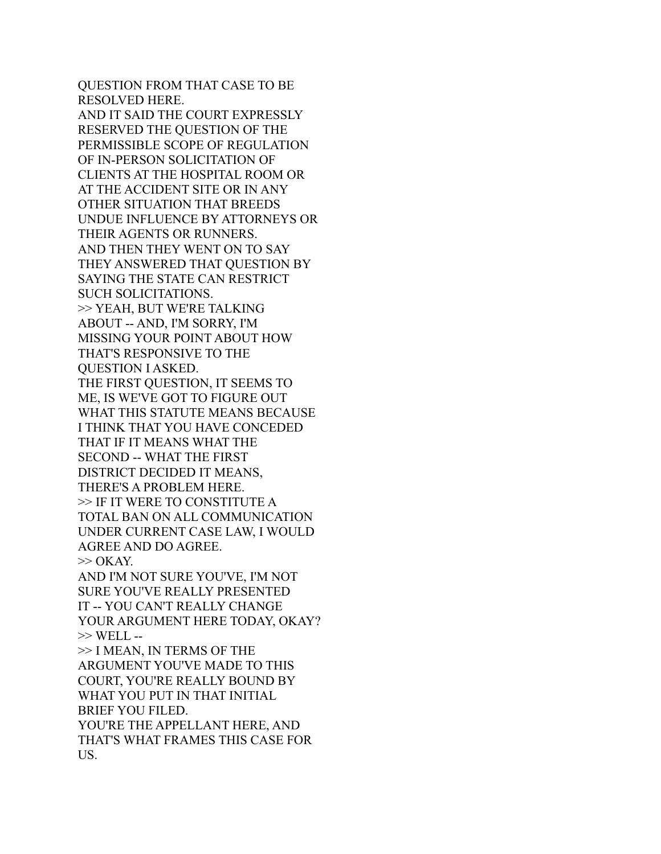QUESTION FROM THAT CASE TO BE RESOLVED HERE. AND IT SAID THE COURT EXPRESSLY RESERVED THE QUESTION OF THE PERMISSIBLE SCOPE OF REGULATION OF IN-PERSON SOLICITATION OF CLIENTS AT THE HOSPITAL ROOM OR AT THE ACCIDENT SITE OR IN ANY OTHER SITUATION THAT BREEDS UNDUE INFLUENCE BY ATTORNEYS OR THEIR AGENTS OR RUNNERS. AND THEN THEY WENT ON TO SAY THEY ANSWERED THAT QUESTION BY SAYING THE STATE CAN RESTRICT SUCH SOLICITATIONS. >> YEAH, BUT WE'RE TALKING ABOUT -- AND, I'M SORRY, I'M MISSING YOUR POINT ABOUT HOW THAT'S RESPONSIVE TO THE QUESTION I ASKED. THE FIRST QUESTION, IT SEEMS TO ME, IS WE'VE GOT TO FIGURE OUT WHAT THIS STATUTE MEANS BECAUSE I THINK THAT YOU HAVE CONCEDED THAT IF IT MEANS WHAT THE SECOND -- WHAT THE FIRST DISTRICT DECIDED IT MEANS, THERE'S A PROBLEM HERE. >> IF IT WERE TO CONSTITUTE A TOTAL BAN ON ALL COMMUNICATION UNDER CURRENT CASE LAW, I WOULD AGREE AND DO AGREE.  $\gg$  OKAY. AND I'M NOT SURE YOU'VE, I'M NOT SURE YOU'VE REALLY PRESENTED IT -- YOU CAN'T REALLY CHANGE YOUR ARGUMENT HERE TODAY, OKAY? >> WELL -- >> I MEAN, IN TERMS OF THE ARGUMENT YOU'VE MADE TO THIS COURT, YOU'RE REALLY BOUND BY WHAT YOU PUT IN THAT INITIAL BRIEF YOU FILED. YOU'RE THE APPELLANT HERE, AND THAT'S WHAT FRAMES THIS CASE FOR US.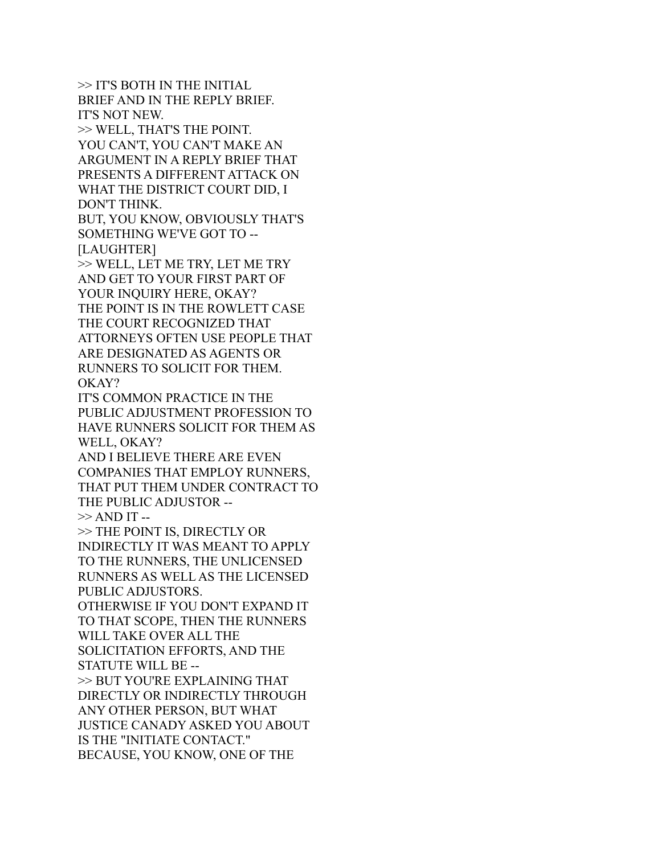>> IT'S BOTH IN THE INITIAL BRIEF AND IN THE REPLY BRIEF. IT'S NOT NEW. >> WELL, THAT'S THE POINT. YOU CAN'T, YOU CAN'T MAKE AN ARGUMENT IN A REPLY BRIEF THAT PRESENTS A DIFFERENT ATTACK ON WHAT THE DISTRICT COURT DID, I DON'T THINK. BUT, YOU KNOW, OBVIOUSLY THAT'S SOMETHING WE'VE GOT TO -- [LAUGHTER] >> WELL, LET ME TRY, LET ME TRY AND GET TO YOUR FIRST PART OF YOUR INQUIRY HERE, OKAY? THE POINT IS IN THE ROWLETT CASE THE COURT RECOGNIZED THAT ATTORNEYS OFTEN USE PEOPLE THAT ARE DESIGNATED AS AGENTS OR RUNNERS TO SOLICIT FOR THEM. OKAY? IT'S COMMON PRACTICE IN THE PUBLIC ADJUSTMENT PROFESSION TO HAVE RUNNERS SOLICIT FOR THEM AS WELL, OKAY? AND I BELIEVE THERE ARE EVEN COMPANIES THAT EMPLOY RUNNERS, THAT PUT THEM UNDER CONTRACT TO THE PUBLIC ADJUSTOR --  $>>$  AND IT  $-$ >> THE POINT IS, DIRECTLY OR INDIRECTLY IT WAS MEANT TO APPLY TO THE RUNNERS, THE UNLICENSED RUNNERS AS WELL AS THE LICENSED PUBLIC ADJUSTORS. OTHERWISE IF YOU DON'T EXPAND IT TO THAT SCOPE, THEN THE RUNNERS WILL TAKE OVER ALL THE SOLICITATION EFFORTS, AND THE STATUTE WILL BE -- >> BUT YOU'RE EXPLAINING THAT DIRECTLY OR INDIRECTLY THROUGH ANY OTHER PERSON, BUT WHAT JUSTICE CANADY ASKED YOU ABOUT IS THE "INITIATE CONTACT." BECAUSE, YOU KNOW, ONE OF THE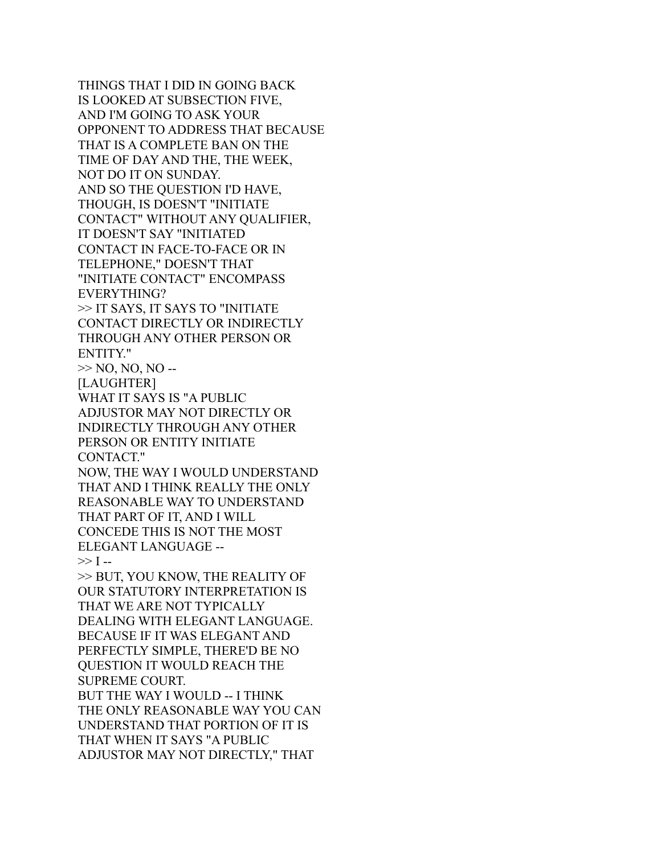THINGS THAT I DID IN GOING BACK IS LOOKED AT SUBSECTION FIVE, AND I'M GOING TO ASK YOUR OPPONENT TO ADDRESS THAT BECAUSE THAT IS A COMPLETE BAN ON THE TIME OF DAY AND THE, THE WEEK, NOT DO IT ON SUNDAY. AND SO THE QUESTION I'D HAVE, THOUGH, IS DOESN'T "INITIATE CONTACT" WITHOUT ANY QUALIFIER, IT DOESN'T SAY "INITIATED CONTACT IN FACE-TO-FACE OR IN TELEPHONE," DOESN'T THAT "INITIATE CONTACT" ENCOMPASS EVERYTHING? >> IT SAYS, IT SAYS TO "INITIATE CONTACT DIRECTLY OR INDIRECTLY THROUGH ANY OTHER PERSON OR ENTITY."  $>>$  NO, NO, NO --[LAUGHTER] WHAT IT SAYS IS "A PUBLIC ADJUSTOR MAY NOT DIRECTLY OR INDIRECTLY THROUGH ANY OTHER PERSON OR ENTITY INITIATE CONTACT." NOW, THE WAY I WOULD UNDERSTAND THAT AND I THINK REALLY THE ONLY REASONABLE WAY TO UNDERSTAND THAT PART OF IT, AND I WILL CONCEDE THIS IS NOT THE MOST ELEGANT LANGUAGE --  $>> I -$ >> BUT, YOU KNOW, THE REALITY OF OUR STATUTORY INTERPRETATION IS THAT WE ARE NOT TYPICALLY DEALING WITH ELEGANT LANGUAGE. BECAUSE IF IT WAS ELEGANT AND PERFECTLY SIMPLE, THERE'D BE NO QUESTION IT WOULD REACH THE SUPREME COURT. BUT THE WAY I WOULD -- I THINK THE ONLY REASONABLE WAY YOU CAN UNDERSTAND THAT PORTION OF IT IS THAT WHEN IT SAYS "A PUBLIC ADJUSTOR MAY NOT DIRECTLY," THAT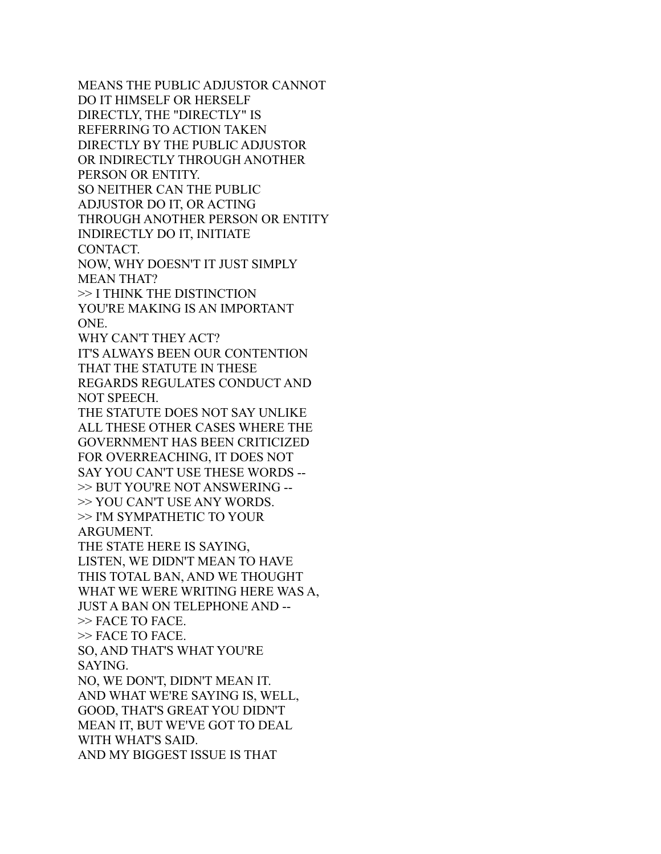MEANS THE PUBLIC ADJUSTOR CANNOT DO IT HIMSELF OR HERSELF DIRECTLY, THE "DIRECTLY" IS REFERRING TO ACTION TAKEN DIRECTLY BY THE PUBLIC ADJUSTOR OR INDIRECTLY THROUGH ANOTHER PERSON OR ENTITY. SO NEITHER CAN THE PUBLIC ADJUSTOR DO IT, OR ACTING THROUGH ANOTHER PERSON OR ENTITY INDIRECTLY DO IT, INITIATE CONTACT. NOW, WHY DOESN'T IT JUST SIMPLY MEAN THAT? >> I THINK THE DISTINCTION YOU'RE MAKING IS AN IMPORTANT ONE. WHY CAN'T THEY ACT? IT'S ALWAYS BEEN OUR CONTENTION THAT THE STATUTE IN THESE REGARDS REGULATES CONDUCT AND NOT SPEECH. THE STATUTE DOES NOT SAY UNLIKE ALL THESE OTHER CASES WHERE THE GOVERNMENT HAS BEEN CRITICIZED FOR OVERREACHING, IT DOES NOT SAY YOU CAN'T USE THESE WORDS -- >> BUT YOU'RE NOT ANSWERING -- >> YOU CAN'T USE ANY WORDS. >> I'M SYMPATHETIC TO YOUR ARGUMENT. THE STATE HERE IS SAYING, LISTEN, WE DIDN'T MEAN TO HAVE THIS TOTAL BAN, AND WE THOUGHT WHAT WE WERE WRITING HERE WAS A, JUST A BAN ON TELEPHONE AND -- >> FACE TO FACE. >> FACE TO FACE. SO, AND THAT'S WHAT YOU'RE SAYING. NO, WE DON'T, DIDN'T MEAN IT. AND WHAT WE'RE SAYING IS, WELL, GOOD, THAT'S GREAT YOU DIDN'T MEAN IT, BUT WE'VE GOT TO DEAL WITH WHAT'S SAID. AND MY BIGGEST ISSUE IS THAT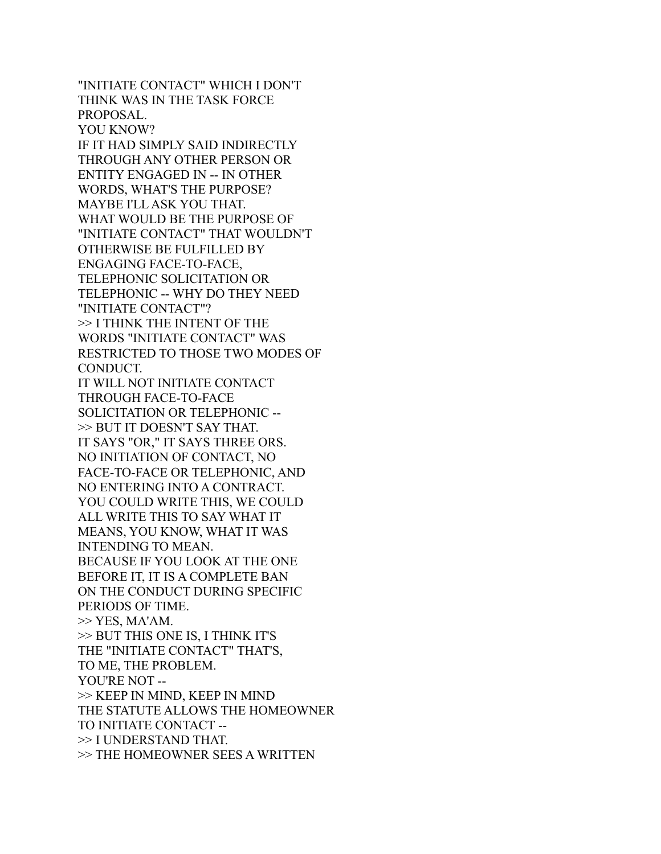"INITIATE CONTACT" WHICH I DON'T THINK WAS IN THE TASK FORCE PROPOSAL. YOU KNOW? IF IT HAD SIMPLY SAID INDIRECTLY THROUGH ANY OTHER PERSON OR ENTITY ENGAGED IN -- IN OTHER WORDS, WHAT'S THE PURPOSE? MAYBE I'LL ASK YOU THAT. WHAT WOULD BE THE PURPOSE OF "INITIATE CONTACT" THAT WOULDN'T OTHERWISE BE FULFILLED BY ENGAGING FACE-TO-FACE, TELEPHONIC SOLICITATION OR TELEPHONIC -- WHY DO THEY NEED "INITIATE CONTACT"? >> I THINK THE INTENT OF THE WORDS "INITIATE CONTACT" WAS RESTRICTED TO THOSE TWO MODES OF CONDUCT. IT WILL NOT INITIATE CONTACT THROUGH FACE-TO-FACE SOLICITATION OR TELEPHONIC -- >> BUT IT DOESN'T SAY THAT. IT SAYS "OR," IT SAYS THREE ORS. NO INITIATION OF CONTACT, NO FACE-TO-FACE OR TELEPHONIC, AND NO ENTERING INTO A CONTRACT. YOU COULD WRITE THIS, WE COULD ALL WRITE THIS TO SAY WHAT IT MEANS, YOU KNOW, WHAT IT WAS INTENDING TO MEAN. BECAUSE IF YOU LOOK AT THE ONE BEFORE IT, IT IS A COMPLETE BAN ON THE CONDUCT DURING SPECIFIC PERIODS OF TIME. >> YES, MA'AM. >> BUT THIS ONE IS, I THINK IT'S THE "INITIATE CONTACT" THAT'S, TO ME, THE PROBLEM. YOU'RE NOT -- >> KEEP IN MIND, KEEP IN MIND THE STATUTE ALLOWS THE HOMEOWNER TO INITIATE CONTACT -- >> I UNDERSTAND THAT. >> THE HOMEOWNER SEES A WRITTEN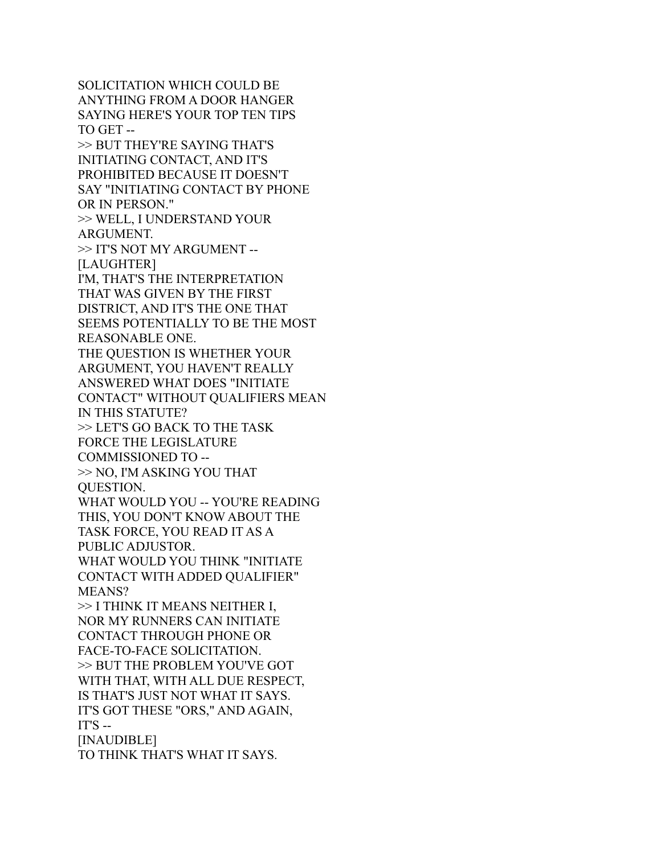SOLICITATION WHICH COULD BE ANYTHING FROM A DOOR HANGER SAYING HERE'S YOUR TOP TEN TIPS TO GET -- >> BUT THEY'RE SAYING THAT'S INITIATING CONTACT, AND IT'S PROHIBITED BECAUSE IT DOESN'T SAY "INITIATING CONTACT BY PHONE OR IN PERSON." >> WELL, I UNDERSTAND YOUR ARGUMENT. >> IT'S NOT MY ARGUMENT -- [LAUGHTER] I'M, THAT'S THE INTERPRETATION THAT WAS GIVEN BY THE FIRST DISTRICT, AND IT'S THE ONE THAT SEEMS POTENTIALLY TO BE THE MOST REASONABLE ONE. THE QUESTION IS WHETHER YOUR ARGUMENT, YOU HAVEN'T REALLY ANSWERED WHAT DOES "INITIATE CONTACT" WITHOUT QUALIFIERS MEAN IN THIS STATUTE? >> LET'S GO BACK TO THE TASK FORCE THE LEGISLATURE COMMISSIONED TO -- >> NO, I'M ASKING YOU THAT QUESTION. WHAT WOULD YOU -- YOU'RE READING THIS, YOU DON'T KNOW ABOUT THE TASK FORCE, YOU READ IT AS A PUBLIC ADJUSTOR. WHAT WOULD YOU THINK "INITIATE CONTACT WITH ADDED QUALIFIER" MEANS? >> I THINK IT MEANS NEITHER I, NOR MY RUNNERS CAN INITIATE CONTACT THROUGH PHONE OR FACE-TO-FACE SOLICITATION. >> BUT THE PROBLEM YOU'VE GOT WITH THAT, WITH ALL DUE RESPECT, IS THAT'S JUST NOT WHAT IT SAYS. IT'S GOT THESE "ORS," AND AGAIN,  $IT'S - -$ [INAUDIBLE] TO THINK THAT'S WHAT IT SAYS.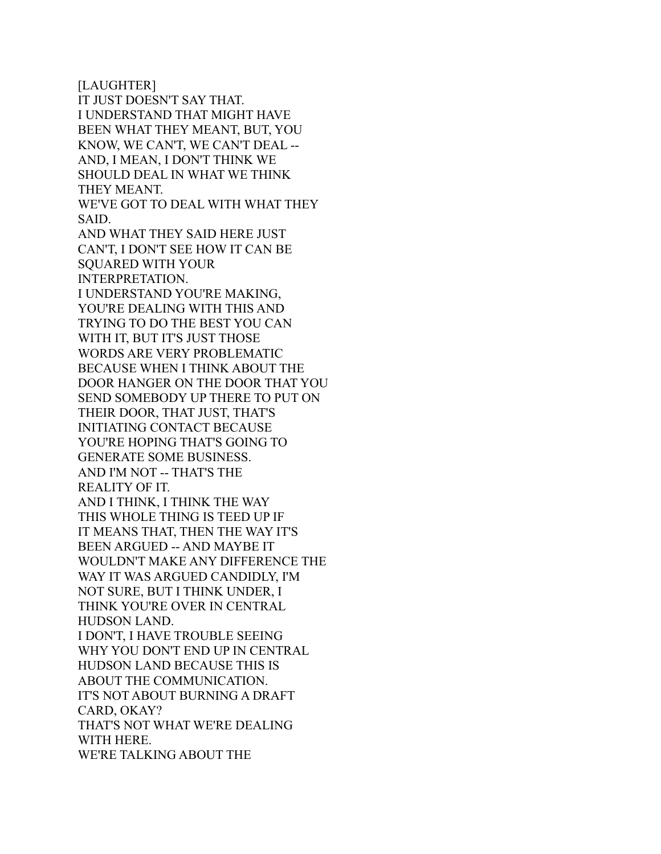[LAUGHTER] IT JUST DOESN'T SAY THAT. I UNDERSTAND THAT MIGHT HAVE BEEN WHAT THEY MEANT, BUT, YOU KNOW, WE CAN'T, WE CAN'T DEAL -- AND, I MEAN, I DON'T THINK WE SHOULD DEAL IN WHAT WE THINK THEY MEANT. WE'VE GOT TO DEAL WITH WHAT THEY SAID. AND WHAT THEY SAID HERE JUST CAN'T, I DON'T SEE HOW IT CAN BE SQUARED WITH YOUR INTERPRETATION. I UNDERSTAND YOU'RE MAKING, YOU'RE DEALING WITH THIS AND TRYING TO DO THE BEST YOU CAN WITH IT, BUT IT'S JUST THOSE WORDS ARE VERY PROBLEMATIC BECAUSE WHEN I THINK ABOUT THE DOOR HANGER ON THE DOOR THAT YOU SEND SOMEBODY UP THERE TO PUT ON THEIR DOOR, THAT JUST, THAT'S INITIATING CONTACT BECAUSE YOU'RE HOPING THAT'S GOING TO GENERATE SOME BUSINESS. AND I'M NOT -- THAT'S THE REALITY OF IT. AND I THINK, I THINK THE WAY THIS WHOLE THING IS TEED UP IF IT MEANS THAT, THEN THE WAY IT'S BEEN ARGUED -- AND MAYBE IT WOULDN'T MAKE ANY DIFFERENCE THE WAY IT WAS ARGUED CANDIDLY, I'M NOT SURE, BUT I THINK UNDER, I THINK YOU'RE OVER IN CENTRAL HUDSON LAND. I DON'T, I HAVE TROUBLE SEEING WHY YOU DON'T END UP IN CENTRAL HUDSON LAND BECAUSE THIS IS ABOUT THE COMMUNICATION. IT'S NOT ABOUT BURNING A DRAFT CARD, OKAY? THAT'S NOT WHAT WE'RE DEALING WITH HERE. WE'RE TALKING ABOUT THE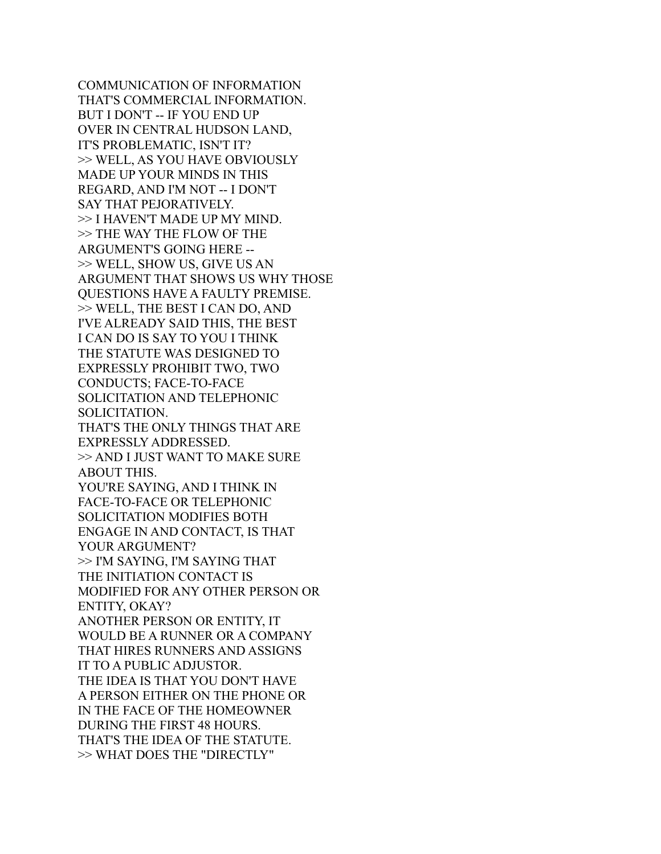COMMUNICATION OF INFORMATION THAT'S COMMERCIAL INFORMATION. BUT I DON'T -- IF YOU END UP OVER IN CENTRAL HUDSON LAND, IT'S PROBLEMATIC, ISN'T IT? >> WELL, AS YOU HAVE OBVIOUSLY MADE UP YOUR MINDS IN THIS REGARD, AND I'M NOT -- I DON'T SAY THAT PEJORATIVELY. >> I HAVEN'T MADE UP MY MIND. >> THE WAY THE FLOW OF THE ARGUMENT'S GOING HERE -- >> WELL, SHOW US, GIVE US AN ARGUMENT THAT SHOWS US WHY THOSE QUESTIONS HAVE A FAULTY PREMISE. >> WELL, THE BEST I CAN DO, AND I'VE ALREADY SAID THIS, THE BEST I CAN DO IS SAY TO YOU I THINK THE STATUTE WAS DESIGNED TO EXPRESSLY PROHIBIT TWO, TWO CONDUCTS; FACE-TO-FACE SOLICITATION AND TELEPHONIC SOLICITATION. THAT'S THE ONLY THINGS THAT ARE EXPRESSLY ADDRESSED. >> AND I JUST WANT TO MAKE SURE ABOUT THIS. YOU'RE SAYING, AND I THINK IN FACE-TO-FACE OR TELEPHONIC SOLICITATION MODIFIES BOTH ENGAGE IN AND CONTACT, IS THAT YOUR ARGUMENT? >> I'M SAYING, I'M SAYING THAT THE INITIATION CONTACT IS MODIFIED FOR ANY OTHER PERSON OR ENTITY, OKAY? ANOTHER PERSON OR ENTITY, IT WOULD BE A RUNNER OR A COMPANY THAT HIRES RUNNERS AND ASSIGNS IT TO A PUBLIC ADJUSTOR. THE IDEA IS THAT YOU DON'T HAVE A PERSON EITHER ON THE PHONE OR IN THE FACE OF THE HOMEOWNER DURING THE FIRST 48 HOURS. THAT'S THE IDEA OF THE STATUTE. >> WHAT DOES THE "DIRECTLY"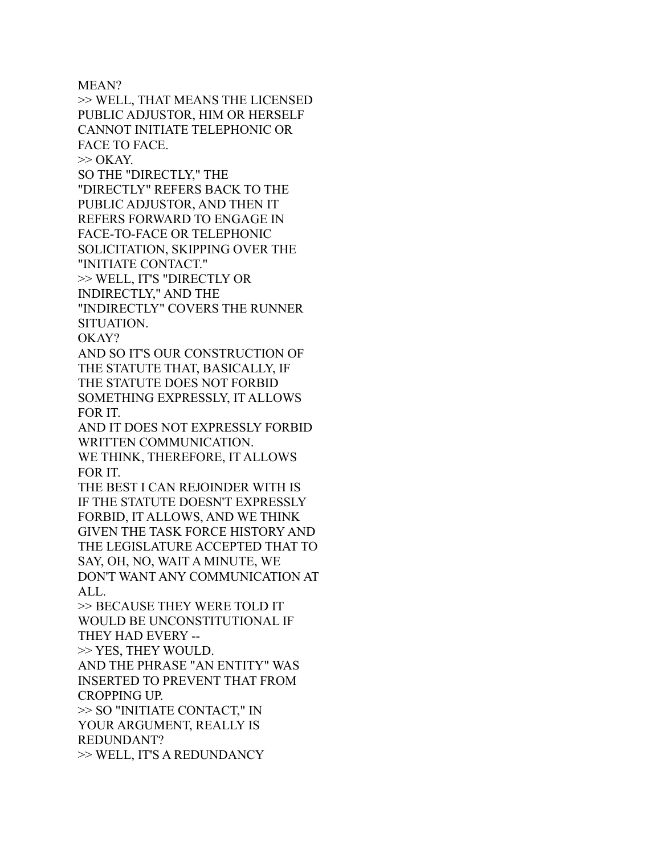MEAN?

>> WELL, THAT MEANS THE LICENSED PUBLIC ADJUSTOR, HIM OR HERSELF CANNOT INITIATE TELEPHONIC OR FACE TO FACE.  $\gg$  OKAY.

SO THE "DIRECTLY," THE

"DIRECTLY" REFERS BACK TO THE PUBLIC ADJUSTOR, AND THEN IT REFERS FORWARD TO ENGAGE IN FACE-TO-FACE OR TELEPHONIC SOLICITATION, SKIPPING OVER THE "INITIATE CONTACT."

>> WELL, IT'S "DIRECTLY OR

INDIRECTLY," AND THE

"INDIRECTLY" COVERS THE RUNNER SITUATION.

OKAY?

AND SO IT'S OUR CONSTRUCTION OF THE STATUTE THAT, BASICALLY, IF THE STATUTE DOES NOT FORBID SOMETHING EXPRESSLY, IT ALLOWS FOR IT.

AND IT DOES NOT EXPRESSLY FORBID WRITTEN COMMUNICATION. WE THINK, THEREFORE, IT ALLOWS FOR IT.

THE BEST I CAN REJOINDER WITH IS IF THE STATUTE DOESN'T EXPRESSLY FORBID, IT ALLOWS, AND WE THINK GIVEN THE TASK FORCE HISTORY AND THE LEGISLATURE ACCEPTED THAT TO SAY, OH, NO, WAIT A MINUTE, WE DON'T WANT ANY COMMUNICATION AT ALL.

>> BECAUSE THEY WERE TOLD IT WOULD BE UNCONSTITUTIONAL IF THEY HAD EVERY --

>> YES, THEY WOULD.

AND THE PHRASE "AN ENTITY" WAS INSERTED TO PREVENT THAT FROM CROPPING UP.

>> SO "INITIATE CONTACT," IN YOUR ARGUMENT, REALLY IS REDUNDANT?

>> WELL, IT'S A REDUNDANCY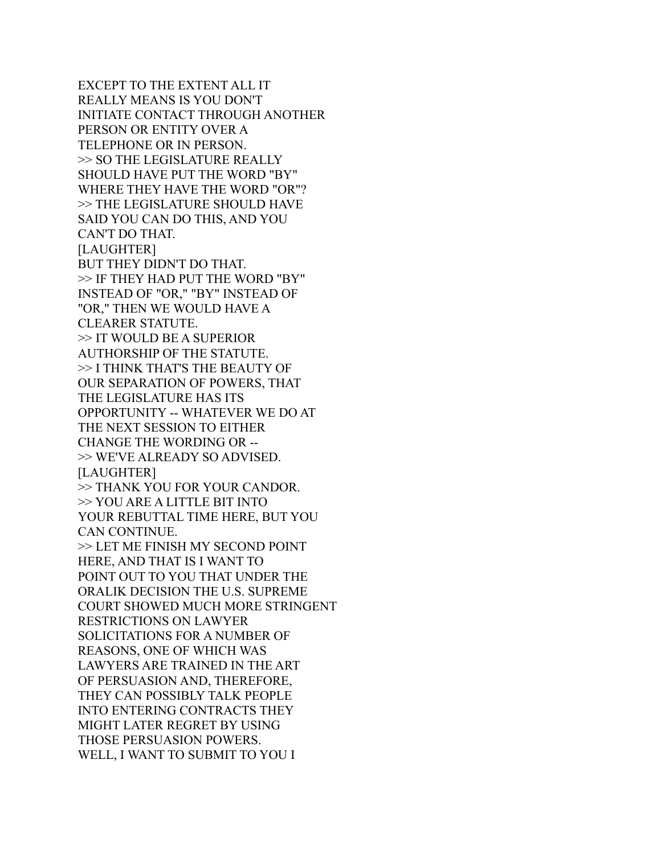EXCEPT TO THE EXTENT ALL IT REALLY MEANS IS YOU DON'T INITIATE CONTACT THROUGH ANOTHER PERSON OR ENTITY OVER A TELEPHONE OR IN PERSON. >> SO THE LEGISLATURE REALLY SHOULD HAVE PUT THE WORD "BY" WHERE THEY HAVE THE WORD "OR"? >> THE LEGISLATURE SHOULD HAVE SAID YOU CAN DO THIS, AND YOU CAN'T DO THAT. [LAUGHTER] BUT THEY DIDN'T DO THAT. >> IF THEY HAD PUT THE WORD "BY" INSTEAD OF "OR," "BY" INSTEAD OF "OR," THEN WE WOULD HAVE A CLEARER STATUTE. >> IT WOULD BE A SUPERIOR AUTHORSHIP OF THE STATUTE. >> I THINK THAT'S THE BEAUTY OF OUR SEPARATION OF POWERS, THAT THE LEGISLATURE HAS ITS OPPORTUNITY -- WHATEVER WE DO AT THE NEXT SESSION TO EITHER CHANGE THE WORDING OR -- >> WE'VE ALREADY SO ADVISED. [LAUGHTER] >> THANK YOU FOR YOUR CANDOR. >> YOU ARE A LITTLE BIT INTO YOUR REBUTTAL TIME HERE, BUT YOU CAN CONTINUE. >> LET ME FINISH MY SECOND POINT HERE, AND THAT IS I WANT TO POINT OUT TO YOU THAT UNDER THE ORALIK DECISION THE U.S. SUPREME COURT SHOWED MUCH MORE STRINGENT RESTRICTIONS ON LAWYER SOLICITATIONS FOR A NUMBER OF REASONS, ONE OF WHICH WAS LAWYERS ARE TRAINED IN THE ART OF PERSUASION AND, THEREFORE, THEY CAN POSSIBLY TALK PEOPLE INTO ENTERING CONTRACTS THEY MIGHT LATER REGRET BY USING THOSE PERSUASION POWERS. WELL, I WANT TO SUBMIT TO YOU I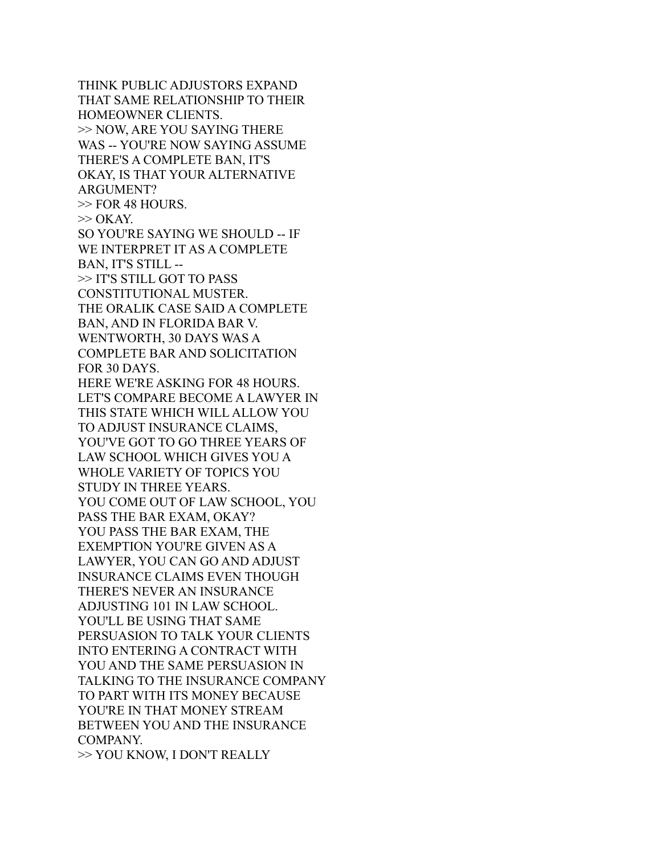THINK PUBLIC ADJUSTORS EXPAND THAT SAME RELATIONSHIP TO THEIR HOMEOWNER CLIENTS. >> NOW, ARE YOU SAYING THERE WAS -- YOU'RE NOW SAYING ASSUME THERE'S A COMPLETE BAN, IT'S OKAY, IS THAT YOUR ALTERNATIVE ARGUMENT? >> FOR 48 HOURS.  $\gg$  OKAY. SO YOU'RE SAYING WE SHOULD -- IF WE INTERPRET IT AS A COMPLETE BAN, IT'S STILL -- >> IT'S STILL GOT TO PASS CONSTITUTIONAL MUSTER. THE ORALIK CASE SAID A COMPLETE BAN, AND IN FLORIDA BAR V. WENTWORTH, 30 DAYS WAS A COMPLETE BAR AND SOLICITATION FOR 30 DAYS. HERE WE'RE ASKING FOR 48 HOURS. LET'S COMPARE BECOME A LAWYER IN THIS STATE WHICH WILL ALLOW YOU TO ADJUST INSURANCE CLAIMS, YOU'VE GOT TO GO THREE YEARS OF LAW SCHOOL WHICH GIVES YOU A WHOLE VARIETY OF TOPICS YOU STUDY IN THREE YEARS. YOU COME OUT OF LAW SCHOOL, YOU PASS THE BAR EXAM, OKAY? YOU PASS THE BAR EXAM, THE EXEMPTION YOU'RE GIVEN AS A LAWYER, YOU CAN GO AND ADJUST INSURANCE CLAIMS EVEN THOUGH THERE'S NEVER AN INSURANCE ADJUSTING 101 IN LAW SCHOOL. YOU'LL BE USING THAT SAME PERSUASION TO TALK YOUR CLIENTS INTO ENTERING A CONTRACT WITH YOU AND THE SAME PERSUASION IN TALKING TO THE INSURANCE COMPANY TO PART WITH ITS MONEY BECAUSE YOU'RE IN THAT MONEY STREAM BETWEEN YOU AND THE INSURANCE COMPANY.

>> YOU KNOW, I DON'T REALLY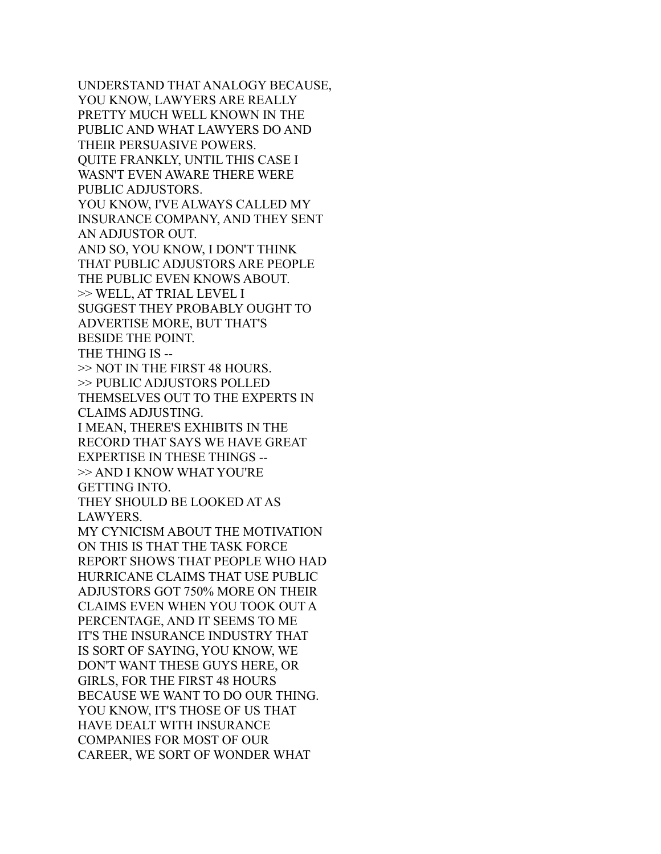UNDERSTAND THAT ANALOGY BECAUSE, YOU KNOW, LAWYERS ARE REALLY PRETTY MUCH WELL KNOWN IN THE PUBLIC AND WHAT LAWYERS DO AND THEIR PERSUASIVE POWERS. QUITE FRANKLY, UNTIL THIS CASE I WASN'T EVEN AWARE THERE WERE PUBLIC ADJUSTORS. YOU KNOW, I'VE ALWAYS CALLED MY INSURANCE COMPANY, AND THEY SENT AN ADJUSTOR OUT. AND SO, YOU KNOW, I DON'T THINK THAT PUBLIC ADJUSTORS ARE PEOPLE THE PUBLIC EVEN KNOWS ABOUT. >> WELL, AT TRIAL LEVEL I SUGGEST THEY PROBABLY OUGHT TO ADVERTISE MORE, BUT THAT'S BESIDE THE POINT. THE THING IS -- >> NOT IN THE FIRST 48 HOURS. >> PUBLIC ADJUSTORS POLLED THEMSELVES OUT TO THE EXPERTS IN CLAIMS ADJUSTING. I MEAN, THERE'S EXHIBITS IN THE RECORD THAT SAYS WE HAVE GREAT EXPERTISE IN THESE THINGS -- >> AND I KNOW WHAT YOU'RE GETTING INTO. THEY SHOULD BE LOOKED AT AS LAWYERS. MY CYNICISM ABOUT THE MOTIVATION ON THIS IS THAT THE TASK FORCE REPORT SHOWS THAT PEOPLE WHO HAD HURRICANE CLAIMS THAT USE PUBLIC ADJUSTORS GOT 750% MORE ON THEIR CLAIMS EVEN WHEN YOU TOOK OUT A PERCENTAGE, AND IT SEEMS TO ME IT'S THE INSURANCE INDUSTRY THAT IS SORT OF SAYING, YOU KNOW, WE DON'T WANT THESE GUYS HERE, OR GIRLS, FOR THE FIRST 48 HOURS BECAUSE WE WANT TO DO OUR THING. YOU KNOW, IT'S THOSE OF US THAT HAVE DEALT WITH INSURANCE COMPANIES FOR MOST OF OUR CAREER, WE SORT OF WONDER WHAT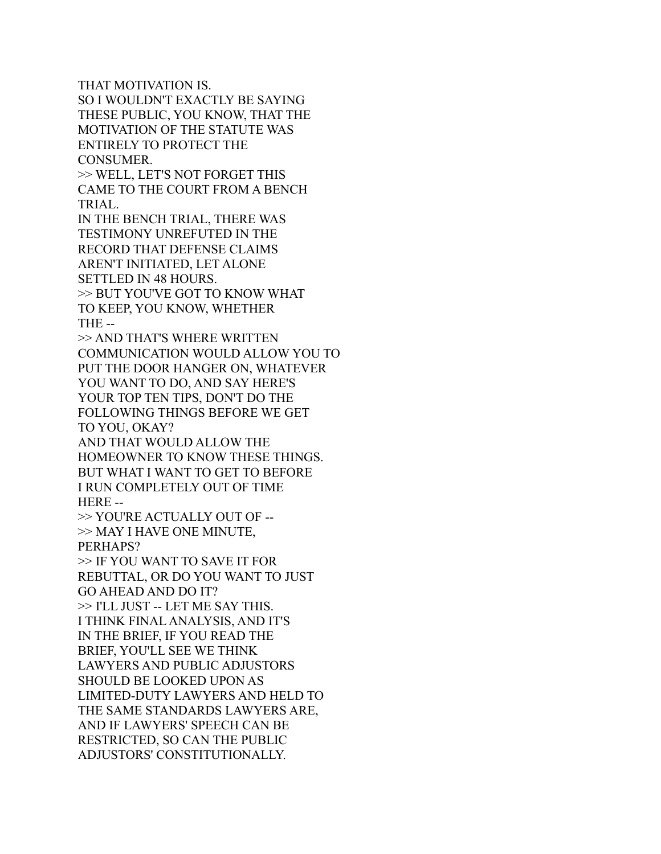THAT MOTIVATION IS. SO I WOULDN'T EXACTLY BE SAYING THESE PUBLIC, YOU KNOW, THAT THE MOTIVATION OF THE STATUTE WAS ENTIRELY TO PROTECT THE CONSUMER.

>> WELL, LET'S NOT FORGET THIS CAME TO THE COURT FROM A BENCH TRIAL.

IN THE BENCH TRIAL, THERE WAS TESTIMONY UNREFUTED IN THE RECORD THAT DEFENSE CLAIMS AREN'T INITIATED, LET ALONE SETTLED IN 48 HOURS. >> BUT YOU'VE GOT TO KNOW WHAT TO KEEP, YOU KNOW, WHETHER THE --

>> AND THAT'S WHERE WRITTEN COMMUNICATION WOULD ALLOW YOU TO PUT THE DOOR HANGER ON, WHATEVER YOU WANT TO DO, AND SAY HERE'S YOUR TOP TEN TIPS, DON'T DO THE FOLLOWING THINGS BEFORE WE GET TO YOU, OKAY?

AND THAT WOULD ALLOW THE HOMEOWNER TO KNOW THESE THINGS. BUT WHAT I WANT TO GET TO BEFORE I RUN COMPLETELY OUT OF TIME HERE --

>> YOU'RE ACTUALLY OUT OF -- >> MAY I HAVE ONE MINUTE, PERHAPS?

>> IF YOU WANT TO SAVE IT FOR REBUTTAL, OR DO YOU WANT TO JUST GO AHEAD AND DO IT? >> I'LL JUST -- LET ME SAY THIS. I THINK FINAL ANALYSIS, AND IT'S IN THE BRIEF, IF YOU READ THE BRIEF, YOU'LL SEE WE THINK LAWYERS AND PUBLIC ADJUSTORS SHOULD BE LOOKED UPON AS LIMITED-DUTY LAWYERS AND HELD TO THE SAME STANDARDS LAWYERS ARE, AND IF LAWYERS' SPEECH CAN BE RESTRICTED, SO CAN THE PUBLIC ADJUSTORS' CONSTITUTIONALLY.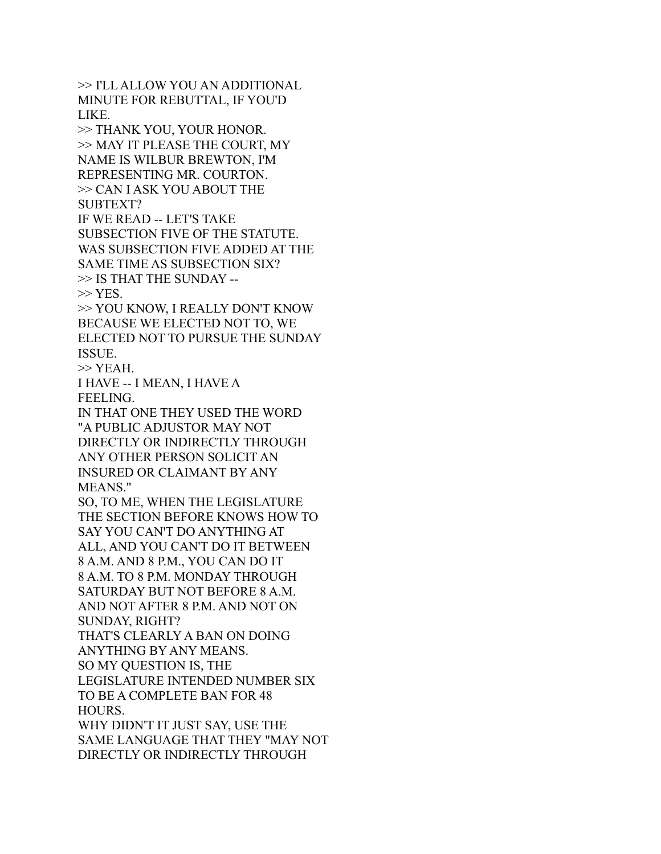>> I'LL ALLOW YOU AN ADDITIONAL MINUTE FOR REBUTTAL, IF YOU'D LIKE.

>> THANK YOU, YOUR HONOR. >> MAY IT PLEASE THE COURT, MY NAME IS WILBUR BREWTON, I'M REPRESENTING MR. COURTON. >> CAN I ASK YOU ABOUT THE SUBTEXT?

IF WE READ -- LET'S TAKE SUBSECTION FIVE OF THE STATUTE. WAS SUBSECTION FIVE ADDED AT THE SAME TIME AS SUBSECTION SIX? >> IS THAT THE SUNDAY --  $>>$  YES.

>> YOU KNOW, I REALLY DON'T KNOW BECAUSE WE ELECTED NOT TO, WE ELECTED NOT TO PURSUE THE SUNDAY ISSUE.

 $>>$  YEAH.

I HAVE -- I MEAN, I HAVE A FEELING.

IN THAT ONE THEY USED THE WORD "A PUBLIC ADJUSTOR MAY NOT DIRECTLY OR INDIRECTLY THROUGH ANY OTHER PERSON SOLICIT AN INSURED OR CLAIMANT BY ANY MEANS."

SO, TO ME, WHEN THE LEGISLATURE THE SECTION BEFORE KNOWS HOW TO SAY YOU CAN'T DO ANYTHING AT ALL, AND YOU CAN'T DO IT BETWEEN 8 A.M. AND 8 P.M., YOU CAN DO IT 8 A.M. TO 8 P.M. MONDAY THROUGH SATURDAY BUT NOT BEFORE 8 A.M. AND NOT AFTER 8 P.M. AND NOT ON SUNDAY, RIGHT?

THAT'S CLEARLY A BAN ON DOING ANYTHING BY ANY MEANS. SO MY QUESTION IS, THE LEGISLATURE INTENDED NUMBER SIX

TO BE A COMPLETE BAN FOR 48 HOURS.

WHY DIDN'T IT JUST SAY, USE THE SAME LANGUAGE THAT THEY "MAY NOT DIRECTLY OR INDIRECTLY THROUGH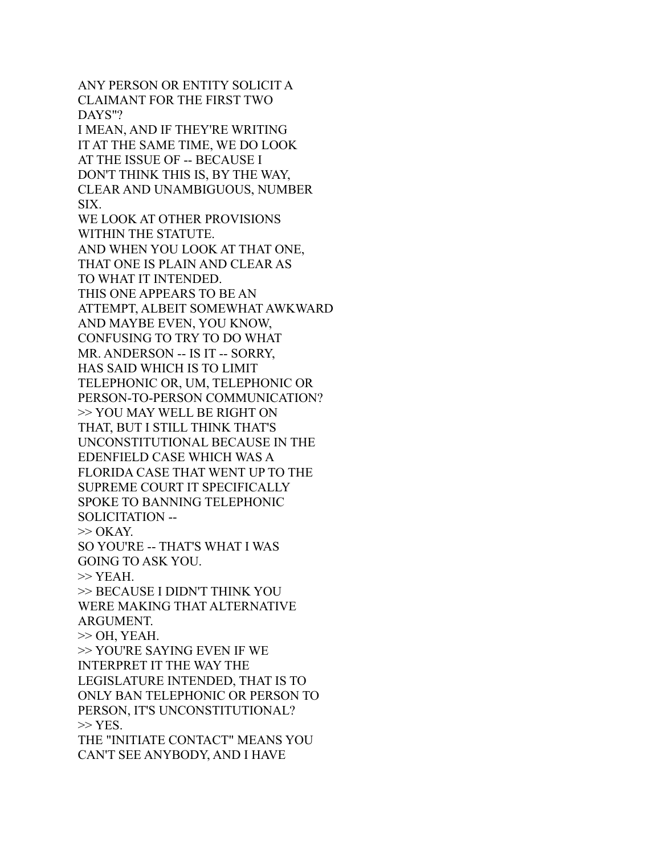ANY PERSON OR ENTITY SOLICIT A CLAIMANT FOR THE FIRST TWO DAYS"? I MEAN, AND IF THEY'RE WRITING IT AT THE SAME TIME, WE DO LOOK AT THE ISSUE OF -- BECAUSE I DON'T THINK THIS IS, BY THE WAY, CLEAR AND UNAMBIGUOUS, NUMBER SIX. WE LOOK AT OTHER PROVISIONS WITHIN THE STATUTE. AND WHEN YOU LOOK AT THAT ONE, THAT ONE IS PLAIN AND CLEAR AS TO WHAT IT INTENDED. THIS ONE APPEARS TO BE AN ATTEMPT, ALBEIT SOMEWHAT AWKWARD AND MAYBE EVEN, YOU KNOW, CONFUSING TO TRY TO DO WHAT MR. ANDERSON -- IS IT -- SORRY, HAS SAID WHICH IS TO LIMIT TELEPHONIC OR, UM, TELEPHONIC OR PERSON-TO-PERSON COMMUNICATION? >> YOU MAY WELL BE RIGHT ON THAT, BUT I STILL THINK THAT'S UNCONSTITUTIONAL BECAUSE IN THE EDENFIELD CASE WHICH WAS A FLORIDA CASE THAT WENT UP TO THE SUPREME COURT IT SPECIFICALLY SPOKE TO BANNING TELEPHONIC SOLICITATION --  $\gg$  OKAY. SO YOU'RE -- THAT'S WHAT I WAS GOING TO ASK YOU.  $>>$  YEAH. >> BECAUSE I DIDN'T THINK YOU WERE MAKING THAT ALTERNATIVE ARGUMENT.  $\gg$  OH, YEAH. >> YOU'RE SAYING EVEN IF WE INTERPRET IT THE WAY THE LEGISLATURE INTENDED, THAT IS TO ONLY BAN TELEPHONIC OR PERSON TO PERSON, IT'S UNCONSTITUTIONAL?  $>>$  YES. THE "INITIATE CONTACT" MEANS YOU CAN'T SEE ANYBODY, AND I HAVE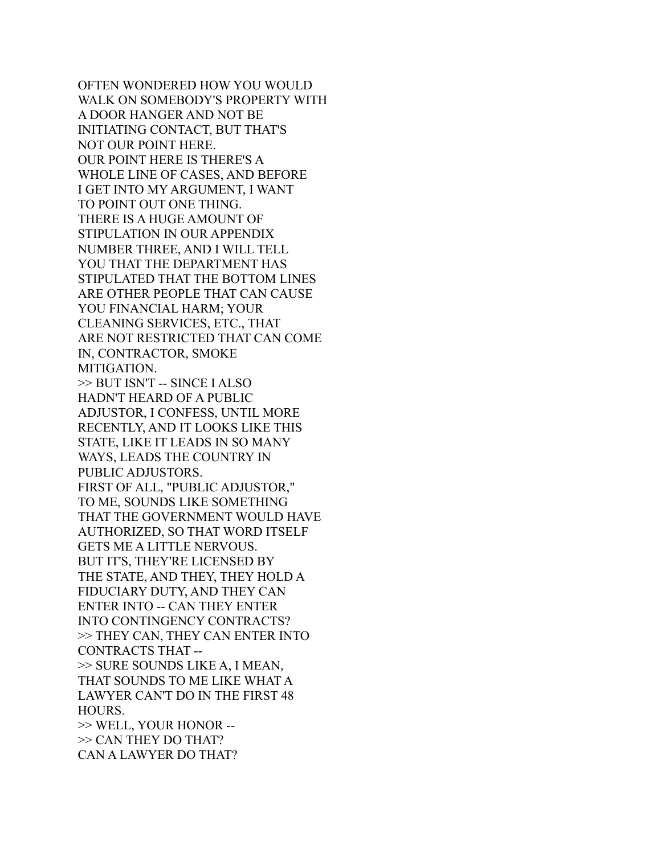OFTEN WONDERED HOW YOU WOULD WALK ON SOMEBODY'S PROPERTY WITH A DOOR HANGER AND NOT BE INITIATING CONTACT, BUT THAT'S NOT OUR POINT HERE. OUR POINT HERE IS THERE'S A WHOLE LINE OF CASES, AND BEFORE I GET INTO MY ARGUMENT, I WANT TO POINT OUT ONE THING. THERE IS A HUGE AMOUNT OF STIPULATION IN OUR APPENDIX NUMBER THREE, AND I WILL TELL YOU THAT THE DEPARTMENT HAS STIPULATED THAT THE BOTTOM LINES ARE OTHER PEOPLE THAT CAN CAUSE YOU FINANCIAL HARM; YOUR CLEANING SERVICES, ETC., THAT ARE NOT RESTRICTED THAT CAN COME IN, CONTRACTOR, SMOKE MITIGATION. >> BUT ISN'T -- SINCE I ALSO HADN'T HEARD OF A PUBLIC ADJUSTOR, I CONFESS, UNTIL MORE RECENTLY, AND IT LOOKS LIKE THIS STATE, LIKE IT LEADS IN SO MANY WAYS, LEADS THE COUNTRY IN PUBLIC ADJUSTORS. FIRST OF ALL, "PUBLIC ADJUSTOR," TO ME, SOUNDS LIKE SOMETHING THAT THE GOVERNMENT WOULD HAVE AUTHORIZED, SO THAT WORD ITSELF GETS ME A LITTLE NERVOUS. BUT IT'S, THEY'RE LICENSED BY THE STATE, AND THEY, THEY HOLD A FIDUCIARY DUTY, AND THEY CAN ENTER INTO -- CAN THEY ENTER INTO CONTINGENCY CONTRACTS? >> THEY CAN, THEY CAN ENTER INTO CONTRACTS THAT -- >> SURE SOUNDS LIKE A, I MEAN, THAT SOUNDS TO ME LIKE WHAT A LAWYER CAN'T DO IN THE FIRST 48 HOURS. >> WELL, YOUR HONOR -- >> CAN THEY DO THAT? CAN A LAWYER DO THAT?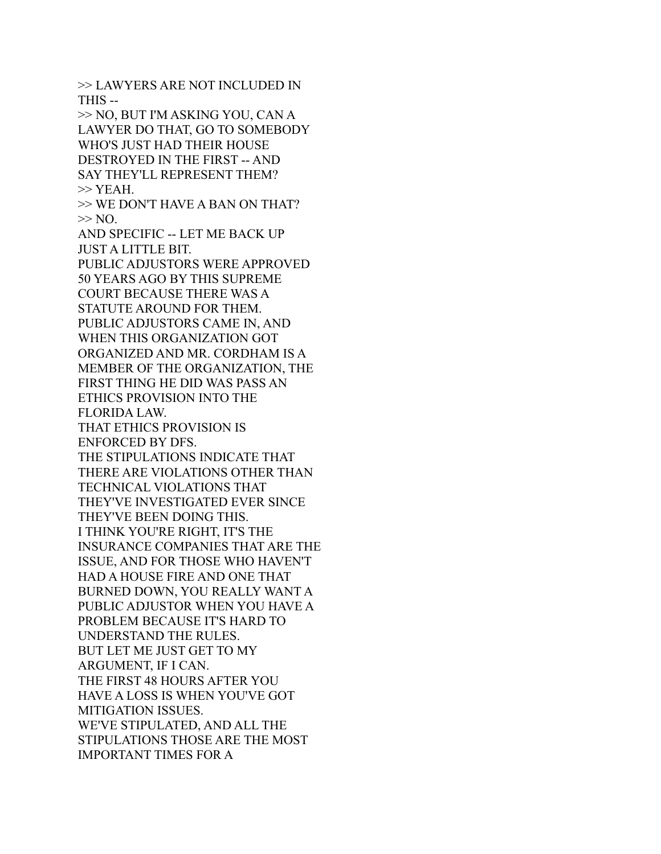>> LAWYERS ARE NOT INCLUDED IN THIS -- >> NO, BUT I'M ASKING YOU, CAN A LAWYER DO THAT, GO TO SOMEBODY WHO'S JUST HAD THEIR HOUSE DESTROYED IN THE FIRST -- AND SAY THEY'LL REPRESENT THEM?  $>>$  YEAH. >> WE DON'T HAVE A BAN ON THAT?  $>> NO$ . AND SPECIFIC -- LET ME BACK UP JUST A LITTLE BIT. PUBLIC ADJUSTORS WERE APPROVED 50 YEARS AGO BY THIS SUPREME COURT BECAUSE THERE WAS A STATUTE AROUND FOR THEM. PUBLIC ADJUSTORS CAME IN, AND WHEN THIS ORGANIZATION GOT ORGANIZED AND MR. CORDHAM IS A MEMBER OF THE ORGANIZATION, THE FIRST THING HE DID WAS PASS AN ETHICS PROVISION INTO THE FLORIDA LAW. THAT ETHICS PROVISION IS ENFORCED BY DFS. THE STIPULATIONS INDICATE THAT THERE ARE VIOLATIONS OTHER THAN TECHNICAL VIOLATIONS THAT THEY'VE INVESTIGATED EVER SINCE THEY'VE BEEN DOING THIS. I THINK YOU'RE RIGHT, IT'S THE INSURANCE COMPANIES THAT ARE THE ISSUE, AND FOR THOSE WHO HAVEN'T HAD A HOUSE FIRE AND ONE THAT BURNED DOWN, YOU REALLY WANT A PUBLIC ADJUSTOR WHEN YOU HAVE A PROBLEM BECAUSE IT'S HARD TO UNDERSTAND THE RULES. BUT LET ME JUST GET TO MY ARGUMENT, IF I CAN. THE FIRST 48 HOURS AFTER YOU HAVE A LOSS IS WHEN YOU'VE GOT MITIGATION ISSUES. WE'VE STIPULATED, AND ALL THE STIPULATIONS THOSE ARE THE MOST IMPORTANT TIMES FOR A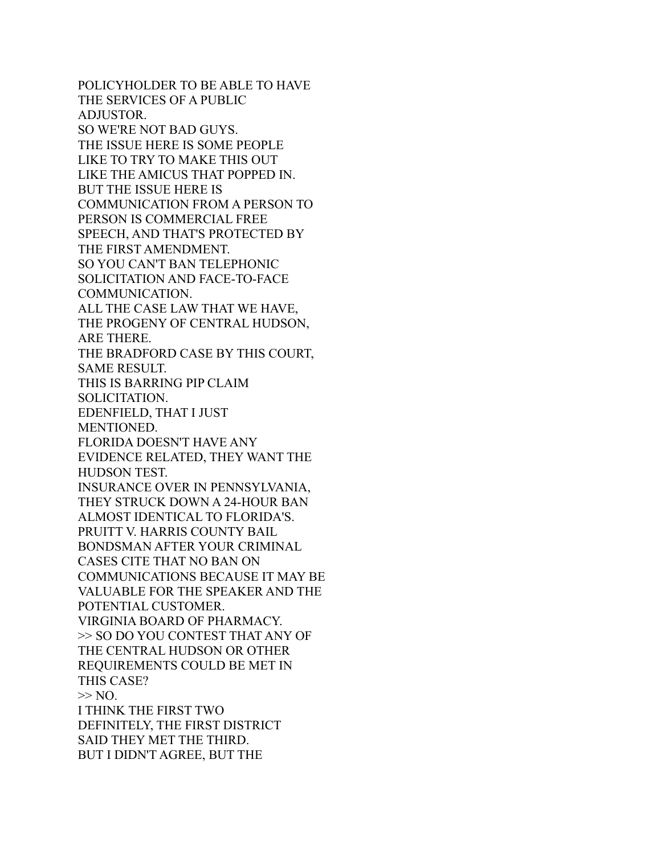POLICYHOLDER TO BE ABLE TO HAVE THE SERVICES OF A PUBLIC ADJUSTOR. SO WE'RE NOT BAD GUYS. THE ISSUE HERE IS SOME PEOPLE LIKE TO TRY TO MAKE THIS OUT LIKE THE AMICUS THAT POPPED IN. BUT THE ISSUE HERE IS COMMUNICATION FROM A PERSON TO PERSON IS COMMERCIAL FREE SPEECH, AND THAT'S PROTECTED BY THE FIRST AMENDMENT. SO YOU CAN'T BAN TELEPHONIC SOLICITATION AND FACE-TO-FACE COMMUNICATION. ALL THE CASE LAW THAT WE HAVE, THE PROGENY OF CENTRAL HUDSON, ARE THERE. THE BRADFORD CASE BY THIS COURT, SAME RESULT. THIS IS BARRING PIP CLAIM SOLICITATION. EDENFIELD, THAT I JUST MENTIONED. FLORIDA DOESN'T HAVE ANY EVIDENCE RELATED, THEY WANT THE HUDSON TEST. INSURANCE OVER IN PENNSYLVANIA, THEY STRUCK DOWN A 24-HOUR BAN ALMOST IDENTICAL TO FLORIDA'S. PRUITT V. HARRIS COUNTY BAIL BONDSMAN AFTER YOUR CRIMINAL CASES CITE THAT NO BAN ON COMMUNICATIONS BECAUSE IT MAY BE VALUABLE FOR THE SPEAKER AND THE POTENTIAL CUSTOMER. VIRGINIA BOARD OF PHARMACY. >> SO DO YOU CONTEST THAT ANY OF THE CENTRAL HUDSON OR OTHER REQUIREMENTS COULD BE MET IN THIS CASE?  $>> NO$ . I THINK THE FIRST TWO DEFINITELY, THE FIRST DISTRICT SAID THEY MET THE THIRD. BUT I DIDN'T AGREE, BUT THE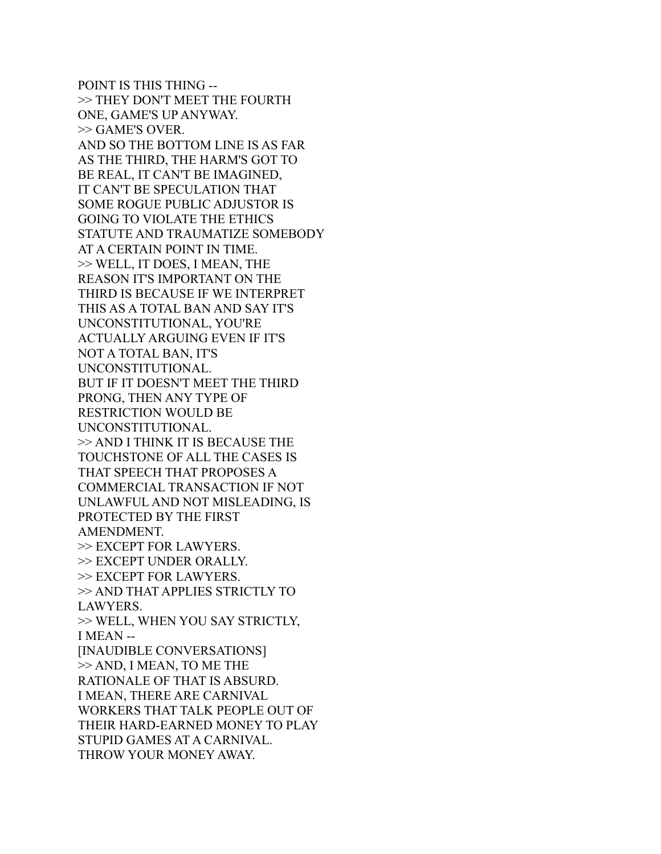POINT IS THIS THING -- >> THEY DON'T MEET THE FOURTH ONE, GAME'S UP ANYWAY. >> GAME'S OVER. AND SO THE BOTTOM LINE IS AS FAR AS THE THIRD, THE HARM'S GOT TO BE REAL, IT CAN'T BE IMAGINED, IT CAN'T BE SPECULATION THAT SOME ROGUE PUBLIC ADJUSTOR IS GOING TO VIOLATE THE ETHICS STATUTE AND TRAUMATIZE SOMEBODY AT A CERTAIN POINT IN TIME. >> WELL, IT DOES, I MEAN, THE REASON IT'S IMPORTANT ON THE THIRD IS BECAUSE IF WE INTERPRET THIS AS A TOTAL BAN AND SAY IT'S UNCONSTITUTIONAL, YOU'RE ACTUALLY ARGUING EVEN IF IT'S NOT A TOTAL BAN, IT'S UNCONSTITUTIONAL. BUT IF IT DOESN'T MEET THE THIRD PRONG, THEN ANY TYPE OF RESTRICTION WOULD BE UNCONSTITUTIONAL. >> AND I THINK IT IS BECAUSE THE TOUCHSTONE OF ALL THE CASES IS THAT SPEECH THAT PROPOSES A COMMERCIAL TRANSACTION IF NOT UNLAWFUL AND NOT MISLEADING, IS PROTECTED BY THE FIRST AMENDMENT. >> EXCEPT FOR LAWYERS. >> EXCEPT UNDER ORALLY. >> EXCEPT FOR LAWYERS. >> AND THAT APPLIES STRICTLY TO LAWYERS. >> WELL, WHEN YOU SAY STRICTLY, I MEAN -- [INAUDIBLE CONVERSATIONS] >> AND, I MEAN, TO ME THE RATIONALE OF THAT IS ABSURD. I MEAN, THERE ARE CARNIVAL WORKERS THAT TALK PEOPLE OUT OF THEIR HARD-EARNED MONEY TO PLAY STUPID GAMES AT A CARNIVAL. THROW YOUR MONEY AWAY.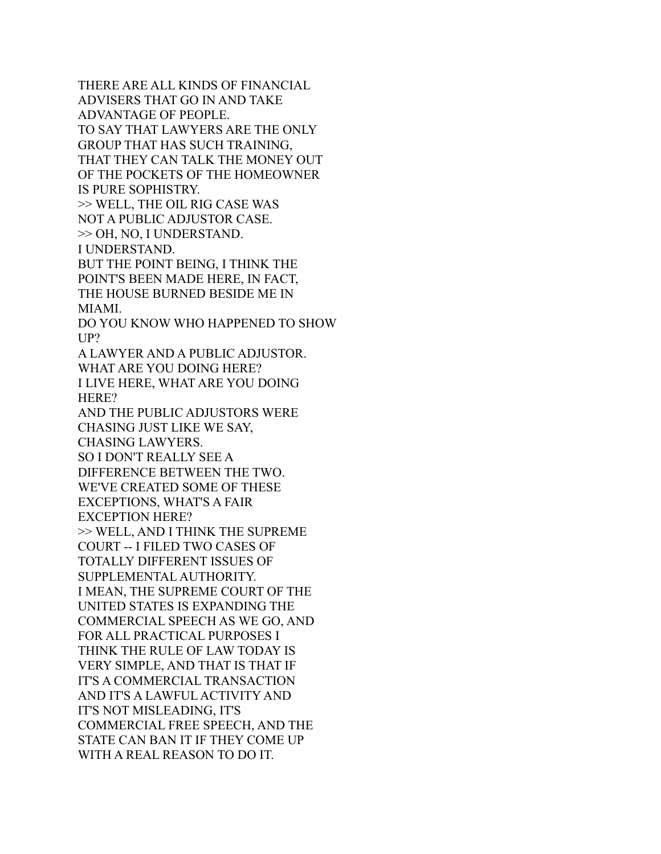THERE ARE ALL KINDS OF FINANCIAL ADVISERS THAT GO IN AND TAKE ADVANTAGE OF PEOPLE. TO SAY THAT LAWYERS ARE THE ONLY GROUP THAT HAS SUCH TRAINING, THAT THEY CAN TALK THE MONEY OUT OF THE POCKETS OF THE HOMEOWNER IS PURE SOPHISTRY. >> WELL, THE OIL RIG CASE WAS NOT A PUBLIC ADJUSTOR CASE. >> OH, NO, I UNDERSTAND. I UNDERSTAND. BUT THE POINT BEING, I THINK THE POINT'S BEEN MADE HERE, IN FACT, THE HOUSE BURNED BESIDE ME IN MIAMI. DO YOU KNOW WHO HAPPENED TO SHOW UP? A LAWYER AND A PUBLIC ADJUSTOR. WHAT ARE YOU DOING HERE? I LIVE HERE, WHAT ARE YOU DOING HERE? AND THE PUBLIC ADJUSTORS WERE CHASING JUST LIKE WE SAY, CHASING LAWYERS. SO I DON'T REALLY SEE A DIFFERENCE BETWEEN THE TWO. WE'VE CREATED SOME OF THESE EXCEPTIONS, WHAT'S A FAIR EXCEPTION HERE? >> WELL, AND I THINK THE SUPREME COURT -- I FILED TWO CASES OF TOTALLY DIFFERENT ISSUES OF SUPPLEMENTAL AUTHORITY. I MEAN, THE SUPREME COURT OF THE UNITED STATES IS EXPANDING THE COMMERCIAL SPEECH AS WE GO, AND FOR ALL PRACTICAL PURPOSES I THINK THE RULE OF LAW TODAY IS VERY SIMPLE, AND THAT IS THAT IF IT'S A COMMERCIAL TRANSACTION AND IT'S A LAWFUL ACTIVITY AND IT'S NOT MISLEADING, IT'S COMMERCIAL FREE SPEECH, AND THE STATE CAN BAN IT IF THEY COME UP WITH A REAL REASON TO DO IT.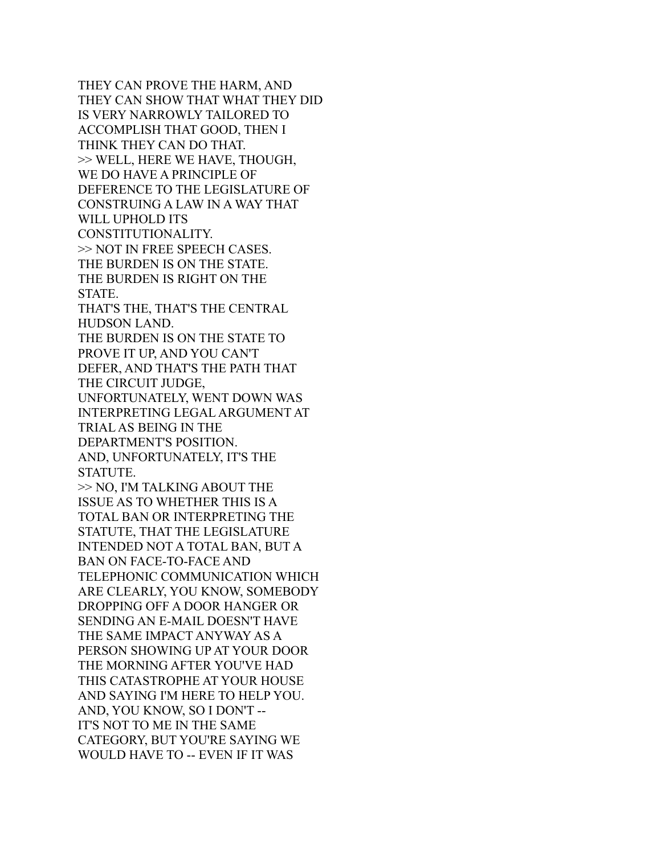THEY CAN PROVE THE HARM, AND THEY CAN SHOW THAT WHAT THEY DID IS VERY NARROWLY TAILORED TO ACCOMPLISH THAT GOOD, THEN I THINK THEY CAN DO THAT. >> WELL, HERE WE HAVE, THOUGH, WE DO HAVE A PRINCIPLE OF DEFERENCE TO THE LEGISLATURE OF CONSTRUING A LAW IN A WAY THAT WILL UPHOLD ITS CONSTITUTIONALITY. >> NOT IN FREE SPEECH CASES. THE BURDEN IS ON THE STATE. THE BURDEN IS RIGHT ON THE STATE. THAT'S THE, THAT'S THE CENTRAL HUDSON LAND. THE BURDEN IS ON THE STATE TO PROVE IT UP, AND YOU CAN'T DEFER, AND THAT'S THE PATH THAT THE CIRCUIT JUDGE, UNFORTUNATELY, WENT DOWN WAS INTERPRETING LEGAL ARGUMENT AT TRIAL AS BEING IN THE DEPARTMENT'S POSITION. AND, UNFORTUNATELY, IT'S THE STATUTE. >> NO, I'M TALKING ABOUT THE ISSUE AS TO WHETHER THIS IS A TOTAL BAN OR INTERPRETING THE STATUTE, THAT THE LEGISLATURE INTENDED NOT A TOTAL BAN, BUT A BAN ON FACE-TO-FACE AND TELEPHONIC COMMUNICATION WHICH ARE CLEARLY, YOU KNOW, SOMEBODY DROPPING OFF A DOOR HANGER OR SENDING AN E-MAIL DOESN'T HAVE THE SAME IMPACT ANYWAY AS A PERSON SHOWING UP AT YOUR DOOR THE MORNING AFTER YOU'VE HAD THIS CATASTROPHE AT YOUR HOUSE AND SAYING I'M HERE TO HELP YOU. AND, YOU KNOW, SO I DON'T -- IT'S NOT TO ME IN THE SAME CATEGORY, BUT YOU'RE SAYING WE WOULD HAVE TO -- EVEN IF IT WAS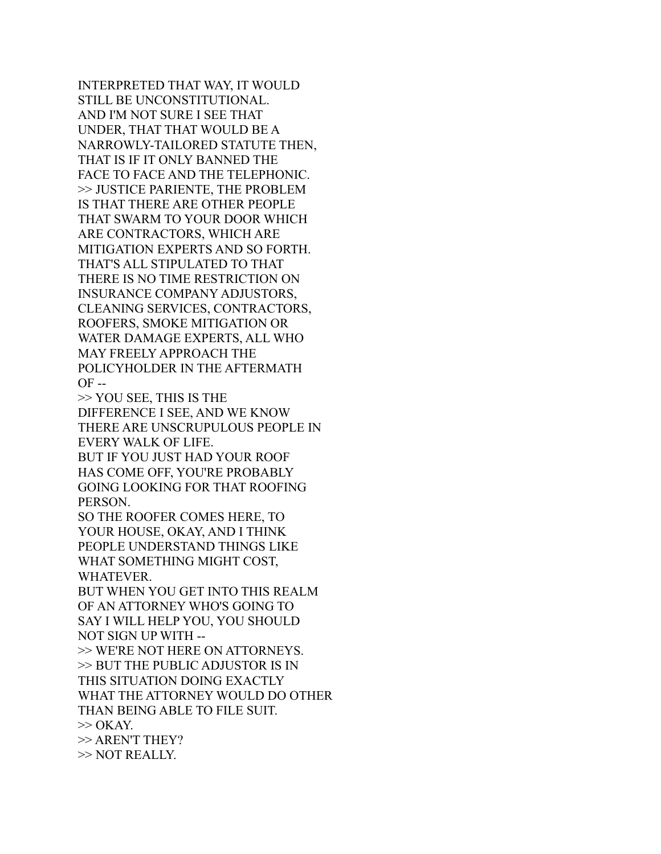INTERPRETED THAT WAY, IT WOULD STILL BE UNCONSTITUTIONAL. AND I'M NOT SURE I SEE THAT UNDER, THAT THAT WOULD BE A NARROWLY-TAILORED STATUTE THEN, THAT IS IF IT ONLY BANNED THE FACE TO FACE AND THE TELEPHONIC. >> JUSTICE PARIENTE, THE PROBLEM IS THAT THERE ARE OTHER PEOPLE THAT SWARM TO YOUR DOOR WHICH ARE CONTRACTORS, WHICH ARE MITIGATION EXPERTS AND SO FORTH. THAT'S ALL STIPULATED TO THAT THERE IS NO TIME RESTRICTION ON INSURANCE COMPANY ADJUSTORS, CLEANING SERVICES, CONTRACTORS, ROOFERS, SMOKE MITIGATION OR WATER DAMAGE EXPERTS, ALL WHO MAY FREELY APPROACH THE POLICYHOLDER IN THE AFTERMATH OF --

>> YOU SEE, THIS IS THE DIFFERENCE I SEE, AND WE KNOW THERE ARE UNSCRUPULOUS PEOPLE IN EVERY WALK OF LIFE. BUT IF YOU JUST HAD YOUR ROOF HAS COME OFF, YOU'RE PROBABLY

GOING LOOKING FOR THAT ROOFING PERSON.

SO THE ROOFER COMES HERE, TO YOUR HOUSE, OKAY, AND I THINK PEOPLE UNDERSTAND THINGS LIKE WHAT SOMETHING MIGHT COST, WHATEVER.

BUT WHEN YOU GET INTO THIS REALM OF AN ATTORNEY WHO'S GOING TO SAY I WILL HELP YOU, YOU SHOULD NOT SIGN UP WITH --

>> WE'RE NOT HERE ON ATTORNEYS. >> BUT THE PUBLIC ADJUSTOR IS IN THIS SITUATION DOING EXACTLY WHAT THE ATTORNEY WOULD DO OTHER THAN BEING ABLE TO FILE SUIT.  $\gg$  OKAY. >> AREN'T THEY? >> NOT REALLY.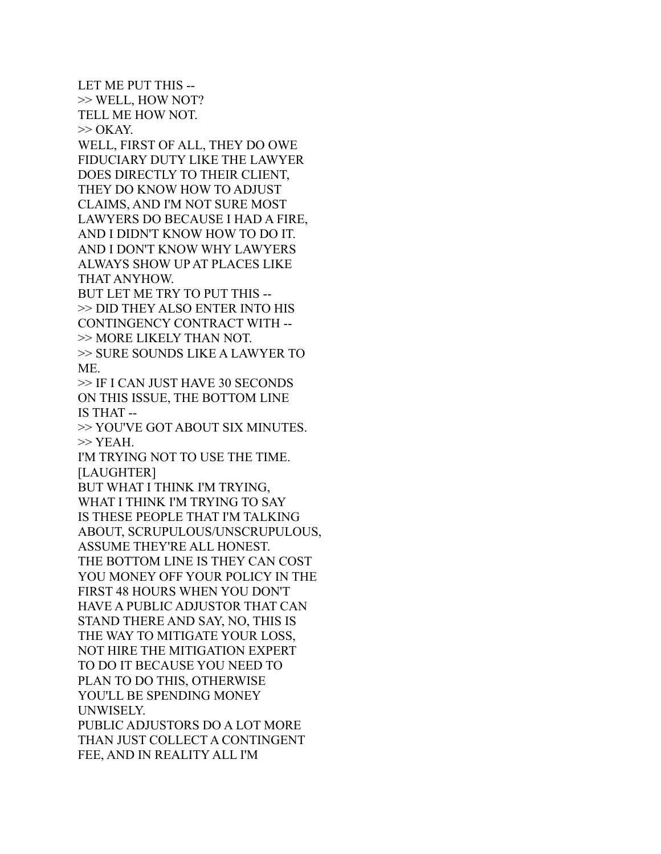LET ME PUT THIS -- >> WELL, HOW NOT? TELL ME HOW NOT.  $>>$  OKAY. WELL, FIRST OF ALL, THEY DO OWE FIDUCIARY DUTY LIKE THE LAWYER DOES DIRECTLY TO THEIR CLIENT, THEY DO KNOW HOW TO ADJUST CLAIMS, AND I'M NOT SURE MOST LAWYERS DO BECAUSE I HAD A FIRE, AND I DIDN'T KNOW HOW TO DO IT. AND I DON'T KNOW WHY LAWYERS ALWAYS SHOW UP AT PLACES LIKE THAT ANYHOW. BUT LET ME TRY TO PUT THIS -- >> DID THEY ALSO ENTER INTO HIS CONTINGENCY CONTRACT WITH -- >> MORE LIKELY THAN NOT. >> SURE SOUNDS LIKE A LAWYER TO ME. >> IF I CAN JUST HAVE 30 SECONDS ON THIS ISSUE, THE BOTTOM LINE IS THAT -- >> YOU'VE GOT ABOUT SIX MINUTES.  $>>$  YEAH. I'M TRYING NOT TO USE THE TIME. [LAUGHTER] BUT WHAT I THINK I'M TRYING, WHAT I THINK I'M TRYING TO SAY IS THESE PEOPLE THAT I'M TALKING ABOUT, SCRUPULOUS/UNSCRUPULOUS, ASSUME THEY'RE ALL HONEST. THE BOTTOM LINE IS THEY CAN COST YOU MONEY OFF YOUR POLICY IN THE FIRST 48 HOURS WHEN YOU DON'T HAVE A PUBLIC ADJUSTOR THAT CAN STAND THERE AND SAY, NO, THIS IS THE WAY TO MITIGATE YOUR LOSS, NOT HIRE THE MITIGATION EXPERT TO DO IT BECAUSE YOU NEED TO PLAN TO DO THIS, OTHERWISE YOU'LL BE SPENDING MONEY UNWISELY. PUBLIC ADJUSTORS DO A LOT MORE THAN JUST COLLECT A CONTINGENT FEE, AND IN REALITY ALL I'M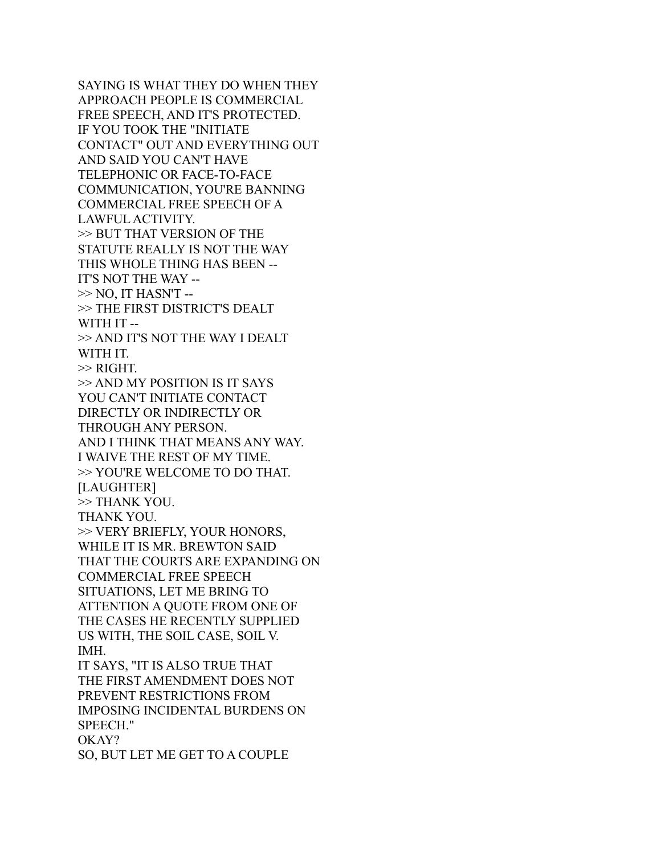SAYING IS WHAT THEY DO WHEN THEY APPROACH PEOPLE IS COMMERCIAL FREE SPEECH, AND IT'S PROTECTED. IF YOU TOOK THE "INITIATE CONTACT" OUT AND EVERYTHING OUT AND SAID YOU CAN'T HAVE TELEPHONIC OR FACE-TO-FACE COMMUNICATION, YOU'RE BANNING COMMERCIAL FREE SPEECH OF A LAWFUL ACTIVITY. >> BUT THAT VERSION OF THE STATUTE REALLY IS NOT THE WAY THIS WHOLE THING HAS BEEN -- IT'S NOT THE WAY --  $\gg$  NO, IT HASN'T -->> THE FIRST DISTRICT'S DEALT WITH IT -- >> AND IT'S NOT THE WAY I DEALT WITH IT. >> RIGHT. >> AND MY POSITION IS IT SAYS YOU CAN'T INITIATE CONTACT DIRECTLY OR INDIRECTLY OR THROUGH ANY PERSON. AND I THINK THAT MEANS ANY WAY. I WAIVE THE REST OF MY TIME. >> YOU'RE WELCOME TO DO THAT. [LAUGHTER] >> THANK YOU. THANK YOU. >> VERY BRIEFLY, YOUR HONORS, WHILE IT IS MR. BREWTON SAID THAT THE COURTS ARE EXPANDING ON COMMERCIAL FREE SPEECH SITUATIONS, LET ME BRING TO ATTENTION A QUOTE FROM ONE OF THE CASES HE RECENTLY SUPPLIED US WITH, THE SOIL CASE, SOIL V. IMH. IT SAYS, "IT IS ALSO TRUE THAT THE FIRST AMENDMENT DOES NOT PREVENT RESTRICTIONS FROM IMPOSING INCIDENTAL BURDENS ON SPEECH." OKAY? SO, BUT LET ME GET TO A COUPLE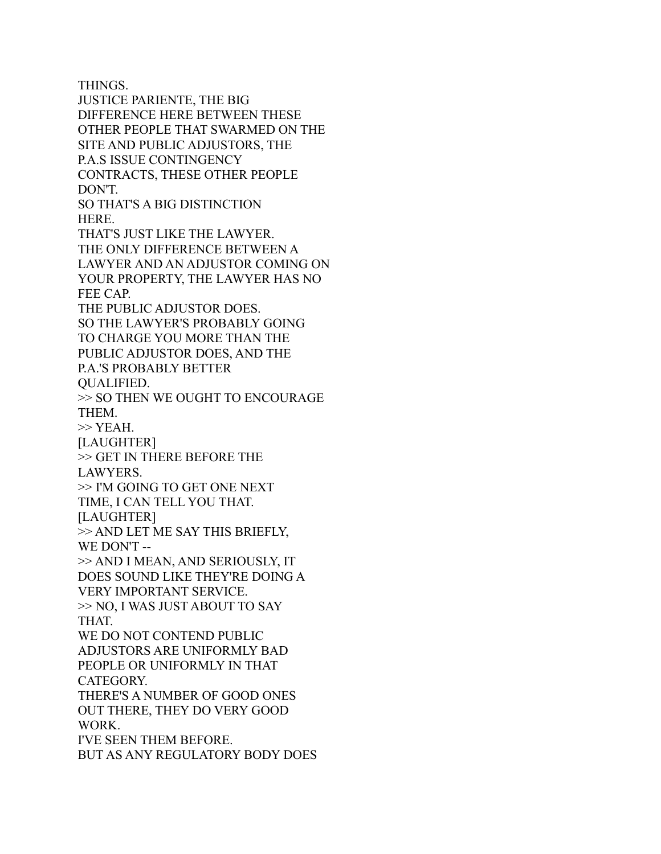THINGS. JUSTICE PARIENTE, THE BIG DIFFERENCE HERE BETWEEN THESE OTHER PEOPLE THAT SWARMED ON THE SITE AND PUBLIC ADJUSTORS, THE P.A.S ISSUE CONTINGENCY CONTRACTS, THESE OTHER PEOPLE DON'T. SO THAT'S A BIG DISTINCTION HERE. THAT'S JUST LIKE THE LAWYER. THE ONLY DIFFERENCE BETWEEN A LAWYER AND AN ADJUSTOR COMING ON YOUR PROPERTY, THE LAWYER HAS NO FEE CAP. THE PUBLIC ADJUSTOR DOES. SO THE LAWYER'S PROBABLY GOING TO CHARGE YOU MORE THAN THE PUBLIC ADJUSTOR DOES, AND THE P.A.'S PROBABLY BETTER QUALIFIED. >> SO THEN WE OUGHT TO ENCOURAGE THEM. >> YEAH. [LAUGHTER] >> GET IN THERE BEFORE THE LAWYERS. >> I'M GOING TO GET ONE NEXT TIME, I CAN TELL YOU THAT. [LAUGHTER] >> AND LET ME SAY THIS BRIEFLY, WE DON'T -->> AND I MEAN, AND SERIOUSLY, IT DOES SOUND LIKE THEY'RE DOING A VERY IMPORTANT SERVICE. >> NO, I WAS JUST ABOUT TO SAY THAT. WE DO NOT CONTEND PUBLIC ADJUSTORS ARE UNIFORMLY BAD PEOPLE OR UNIFORMLY IN THAT CATEGORY. THERE'S A NUMBER OF GOOD ONES OUT THERE, THEY DO VERY GOOD WORK. I'VE SEEN THEM BEFORE. BUT AS ANY REGULATORY BODY DOES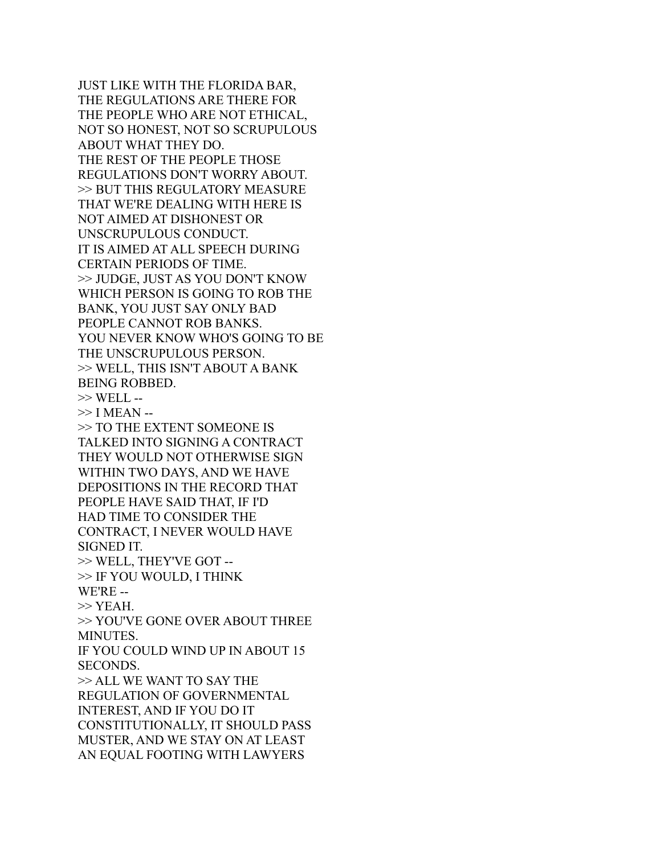JUST LIKE WITH THE FLORIDA BAR, THE REGULATIONS ARE THERE FOR THE PEOPLE WHO ARE NOT ETHICAL, NOT SO HONEST, NOT SO SCRUPULOUS ABOUT WHAT THEY DO. THE REST OF THE PEOPLE THOSE REGULATIONS DON'T WORRY ABOUT. >> BUT THIS REGULATORY MEASURE THAT WE'RE DEALING WITH HERE IS NOT AIMED AT DISHONEST OR UNSCRUPULOUS CONDUCT. IT IS AIMED AT ALL SPEECH DURING CERTAIN PERIODS OF TIME. >> JUDGE, JUST AS YOU DON'T KNOW WHICH PERSON IS GOING TO ROB THE BANK, YOU JUST SAY ONLY BAD PEOPLE CANNOT ROB BANKS. YOU NEVER KNOW WHO'S GOING TO BE THE UNSCRUPULOUS PERSON. >> WELL, THIS ISN'T ABOUT A BANK BEING ROBBED. >> WELL --  $\gg$  I MEAN -->> TO THE EXTENT SOMEONE IS TALKED INTO SIGNING A CONTRACT THEY WOULD NOT OTHERWISE SIGN WITHIN TWO DAYS, AND WE HAVE DEPOSITIONS IN THE RECORD THAT PEOPLE HAVE SAID THAT, IF I'D HAD TIME TO CONSIDER THE CONTRACT, I NEVER WOULD HAVE SIGNED IT. >> WELL, THEY'VE GOT -- >> IF YOU WOULD, I THINK WE'RE --  $>>$  YEAH. >> YOU'VE GONE OVER ABOUT THREE MINUTES. IF YOU COULD WIND UP IN ABOUT 15 SECONDS. >> ALL WE WANT TO SAY THE REGULATION OF GOVERNMENTAL INTEREST, AND IF YOU DO IT CONSTITUTIONALLY, IT SHOULD PASS MUSTER, AND WE STAY ON AT LEAST AN EQUAL FOOTING WITH LAWYERS